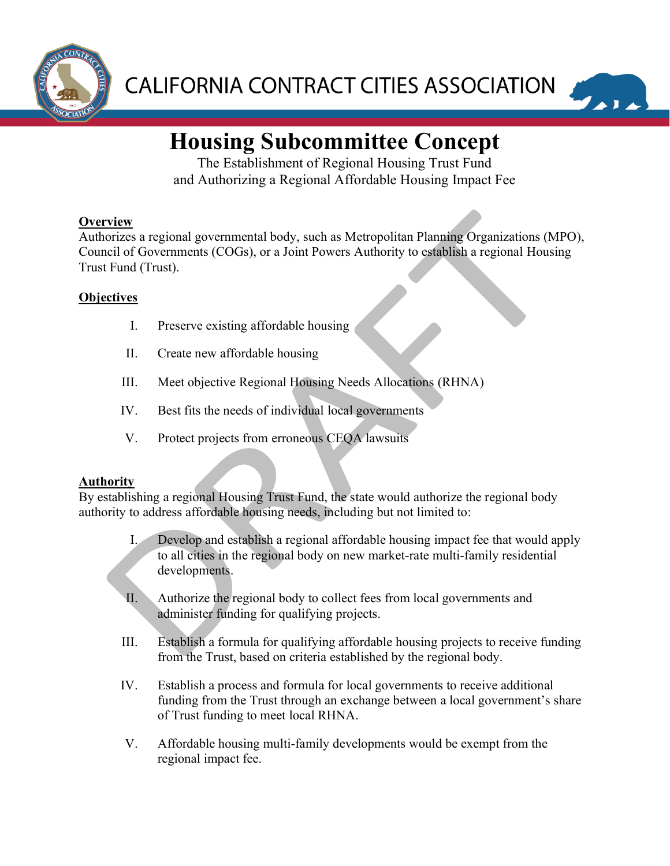



# **Housing Subcommittee Concept**

The Establishment of Regional Housing Trust Fund and Authorizing a Regional Affordable Housing Impact Fee

# **Overview**

Authorizes a regional governmental body, such as Metropolitan Planning Organizations (MPO), Council of Governments (COGs), or a Joint Powers Authority to establish a regional Housing Trust Fund (Trust).

# **Objectives**

- I. Preserve existing affordable housing
- II. Create new affordable housing
- III. Meet objective Regional Housing Needs Allocations (RHNA)
- IV. Best fits the needs of individual local governments
- V. Protect projects from erroneous CEQA lawsuits

## **Authority**

By establishing a regional Housing Trust Fund, the state would authorize the regional body authority to address affordable housing needs, including but not limited to:

- I. Develop and establish a regional affordable housing impact fee that would apply to all cities in the regional body on new market-rate multi-family residential developments.
- II. Authorize the regional body to collect fees from local governments and administer funding for qualifying projects.
- III. Establish a formula for qualifying affordable housing projects to receive funding from the Trust, based on criteria established by the regional body.
- IV. Establish a process and formula for local governments to receive additional funding from the Trust through an exchange between a local government's share of Trust funding to meet local RHNA.
- V. Affordable housing multi-family developments would be exempt from the regional impact fee.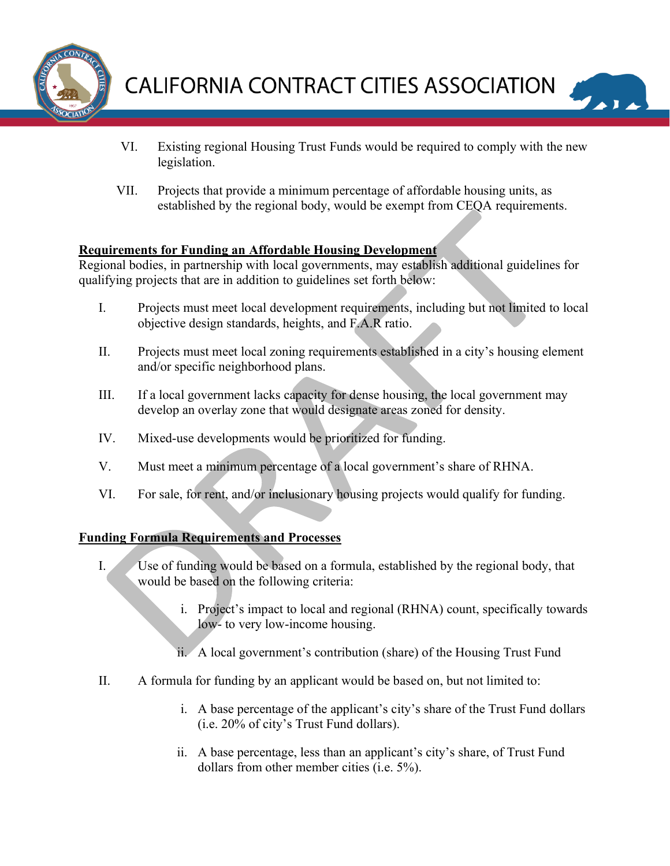



- VI. Existing regional Housing Trust Funds would be required to comply with the new legislation.
- VII. Projects that provide a minimum percentage of affordable housing units, as established by the regional body, would be exempt from CEQA requirements.

## **Requirements for Funding an Affordable Housing Development**

Regional bodies, in partnership with local governments, may establish additional guidelines for qualifying projects that are in addition to guidelines set forth below:

- I. Projects must meet local development requirements, including but not limited to local objective design standards, heights, and F.A.R ratio.
- II. Projects must meet local zoning requirements established in a city's housing element and/or specific neighborhood plans.
- III. If a local government lacks capacity for dense housing, the local government may develop an overlay zone that would designate areas zoned for density.
- IV. Mixed-use developments would be prioritized for funding.
- V. Must meet a minimum percentage of a local government's share of RHNA.
- VI. For sale, for rent, and/or inclusionary housing projects would qualify for funding.

## **Funding Formula Requirements and Processes**

- I. Use of funding would be based on a formula, established by the regional body, that would be based on the following criteria:
	- i. Project's impact to local and regional (RHNA) count, specifically towards low- to very low-income housing.
	- ii. A local government's contribution (share) of the Housing Trust Fund
- II. A formula for funding by an applicant would be based on, but not limited to:
	- i. A base percentage of the applicant's city's share of the Trust Fund dollars (i.e. 20% of city's Trust Fund dollars).
	- ii. A base percentage, less than an applicant's city's share, of Trust Fund dollars from other member cities (i.e. 5%).